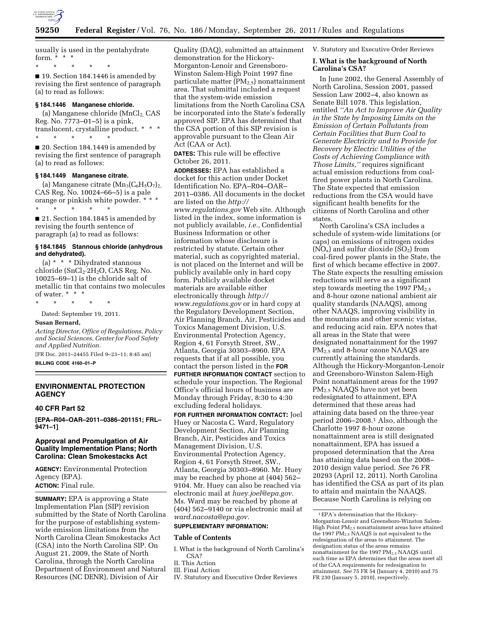

usually is used in the pentahydrate form.  $*$   $*$   $*$ 

\* \* \* \* \*

■ 19. Section 184.1446 is amended by revising the first sentence of paragraph (a) to read as follows:

### **§ 184.1446 Manganese chloride.**

(a) Manganese chloride  $(MnCl<sub>2</sub>, CAS)$ Reg. No. 7773–01–5) is a pink, translucent, crystalline product. \* \* \* \* \* \* \* \*

■ 20. Section 184.1449 is amended by revising the first sentence of paragraph (a) to read as follows:

#### **§ 184.1449 Manganese citrate.**

(a) Manganese citrate  $(Mn_3(C_6H_5O_7)_2)$ CAS Reg. No. 10024–66–5) is a pale orange or pinkish white powder. \* \* \* \* \* \* \* \*

■ 21. Section 184.1845 is amended by revising the fourth sentence of paragraph (a) to read as follows:

## **§ 184.1845 Stannous chloride (anhydrous and dehydrated).**

(a) \* \* \* Dihydrated stannous chloride (SnCl<sub>2</sub>·2H<sub>2</sub>O, CAS Reg. No. 10025–69–1) is the chloride salt of metallic tin that contains two molecules of water. \* \* \*

\* \* \* \* \*

Dated: September 19, 2011.

### **Susan Bernard,**

*Acting Director, Office of Regulations, Policy and Social Sciences, Center for Food Safety and Applied Nutrition.* 

[FR Doc. 2011–24455 Filed 9–23–11; 8:45 am] **BILLING CODE 4160–01–P** 

## **ENVIRONMENTAL PROTECTION AGENCY**

# **40 CFR Part 52**

**[EPA–R04–OAR–2011–0386–201151; FRL– 9471–1]** 

## **Approval and Promulgation of Air Quality Implementation Plans; North Carolina: Clean Smokestacks Act**

**AGENCY:** Environmental Protection Agency (EPA). **ACTION:** Final rule.

**SUMMARY:** EPA is approving a State Implementation Plan (SIP) revision submitted by the State of North Carolina for the purpose of establishing systemwide emission limitations from the North Carolina Clean Smokestacks Act (CSA) into the North Carolina SIP. On August 21, 2009, the State of North Carolina, through the North Carolina Department of Environment and Natural Resources (NC DENR), Division of Air

Quality (DAQ), submitted an attainment demonstration for the Hickory-Morganton-Lenoir and Greensboro-Winston Salem-High Point 1997 fine particulate matter  $(PM_{2.5})$  nonattainment area. That submittal included a request that the system-wide emission limitations from the North Carolina CSA be incorporated into the State's federally approved SIP. EPA has determined that the CSA portion of this SIP revision is approvable pursuant to the Clean Air Act (CAA or Act).

**DATES:** This rule will be effective October 26, 2011.

**ADDRESSES:** EPA has established a docket for this action under Docket Identification No. EPA–R04–OAR– 2011–0386. All documents in the docket are listed on the *[http://](http://www.regulations.gov) [www.regulations.gov](http://www.regulations.gov)* Web site. Although listed in the index, some information is not publicly available, *i.e.,* Confidential Business Information or other information whose disclosure is restricted by statute. Certain other material, such as copyrighted material, is not placed on the Internet and will be publicly available only in hard copy form. Publicly available docket materials are available either electronically through *[http://](http://www.regulations.gov) [www.regulations.gov](http://www.regulations.gov)* or in hard copy at the Regulatory Development Section, Air Planning Branch, Air, Pesticides and Toxics Management Division, U.S. Environmental Protection Agency, Region 4, 61 Forsyth Street, SW., Atlanta, Georgia 30303–8960. EPA requests that if at all possible, you contact the person listed in the **FOR FURTHER INFORMATION CONTACT** section to schedule your inspection. The Regional Office's official hours of business are Monday through Friday, 8:30 to 4:30 excluding federal holidays.

**FOR FURTHER INFORMATION CONTACT:** Joel Huey or Nacosta C. Ward, Regulatory Development Section, Air Planning Branch, Air, Pesticides and Toxics Management Division, U.S. Environmental Protection Agency, Region 4, 61 Forsyth Street, SW., Atlanta, Georgia 30303–8960. Mr. Huey may be reached by phone at (404) 562– 9104. Mr. Huey can also be reached via electronic mail at *[huey.joel@epa.gov.](mailto:huey.joel@epa.gov)*  Ms. Ward may be reached by phone at (404) 562–9140 or via electronic mail at *[ward.nacosta@epa.gov](mailto:ward.nacosta@epa.gov)*.

# **SUPPLEMENTARY INFORMATION:**

## **Table of Contents**

- I. What is the background of North Carolina's CSA?
- II. This Action
- III. Final Action
- IV. Statutory and Executive Order Reviews

V. Statutory and Executive Order Reviews

#### **I. What is the background of North Carolina's CSA?**

In June 2002, the General Assembly of North Carolina, Session 2001, passed Session Law 2002–4, also known as Senate Bill 1078. This legislation, entitled *''An Act to Improve Air Quality in the State by Imposing Limits on the Emission of Certain Pollutants from Certain Facilities that Burn Coal to Generate Electricity and to Provide for Recovery by Electric Utilities of the Costs of Achieving Compliance with Those Limits,''* requires significant actual emission reductions from coalfired power plants in North Carolina. The State expected that emission reductions from the CSA would have significant health benefits for the citizens of North Carolina and other states.

North Carolina's CSA includes a schedule of system-wide limitations (or caps) on emissions of nitrogen oxides  $(NO<sub>x</sub>)$  and sulfur dioxide  $(SO<sub>2</sub>)$  from coal-fired power plants in the State, the first of which became effective in 2007. The State expects the resulting emission reductions will serve as a significant step towards meeting the 1997  $PM_{2.5}$ and 8-hour ozone national ambient air quality standards (NAAQS), among other NAAQS, improving visibility in the mountains and other scenic vistas, and reducing acid rain. EPA notes that all areas in the State that were designated nonattainment for the 1997 PM<sub>2.5</sub> and 8-hour ozone NAAQS are currently attaining the standards. Although the Hickory-Morganton-Lenoir and Greensboro-Winston Salem-High Point nonattainment areas for the 1997 PM2.5 NAAQS have not yet been redesignated to attainment, EPA determined that these areas had attaining data based on the three-year period 2006–2008.1 Also, although the Charlotte 1997 8-hour ozone nonattainment area is still designated nonattainment, EPA has issued a proposed determination that the Area has attaining data based on the 2008– 2010 design value period. *See* 76 FR 20293 (April 12, 2011). North Carolina has identified the CSA as part of its plan to attain and maintain the NAAQS. Because North Carolina is relying on

<sup>1</sup>EPA's determination that the Hickory-Morganton-Lenoir and Greensboro-Winston Salem-High Point PM2.5 nonattainment areas have attained the 1997 PM<sub>2.5</sub> NAAQS is not equivalent to the redesignation of the areas to attainment. The designation status of the areas remains nonattainment for the 1997 PM2.5 NAAQS until such time as EPA determines that the areas meet all of the CAA requirements for redesignation to attainment. *See* 75 FR 54 (January 4, 2010) and 75 FR 230 (January 5, 2010), respectively.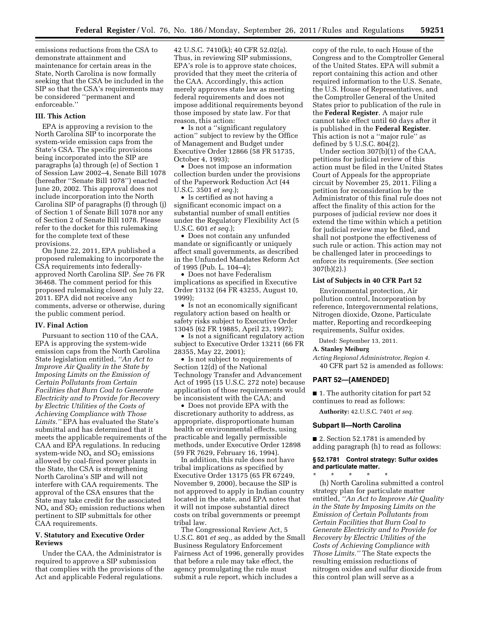emissions reductions from the CSA to demonstrate attainment and maintenance for certain areas in the State, North Carolina is now formally seeking that the CSA be included in the SIP so that the CSA's requirements may be considered ''permanent and enforceable.''

### **III. This Action**

EPA is approving a revision to the North Carolina SIP to incorporate the system-wide emission caps from the State's CSA. The specific provisions being incorporated into the SIP are paragraphs (a) through (e) of Section 1 of Session Law 2002–4, Senate Bill 1078 (hereafter ''Senate Bill 1078'') enacted June 20, 2002. This approval does not include incorporation into the North Carolina SIP of paragraphs (f) through (j) of Section 1 of Senate Bill 1078 nor any of Section 2 of Senate Bill 1078. Please refer to the docket for this rulemaking for the complete text of these provisions.

On June 22, 2011, EPA published a proposed rulemaking to incorporate the CSA requirements into federallyapproved North Carolina SIP. *See* 76 FR 36468. The comment period for this proposed rulemaking closed on July 22, 2011. EPA did not receive any comments, adverse or otherwise, during the public comment period.

#### **IV. Final Action**

Pursuant to section 110 of the CAA, EPA is approving the system-wide emission caps from the North Carolina State legislation entitled, *''An Act to Improve Air Quality in the State by Imposing Limits on the Emission of Certain Pollutants from Certain Facilities that Burn Coal to Generate Electricity and to Provide for Recovery by Electric Utilities of the Costs of Achieving Compliance with Those Limits.''* EPA has evaluated the State's submittal and has determined that it meets the applicable requirements of the CAA and EPA regulations. In reducing system-wide  $NO<sub>x</sub>$  and  $SO<sub>2</sub>$  emissions allowed by coal-fired power plants in the State, the CSA is strengthening North Carolina's SIP and will not interfere with CAA requirements. The approval of the CSA ensures that the State may take credit for the associated  $NO<sub>x</sub>$  and  $SO<sub>2</sub>$  emission reductions when pertinent to SIP submittals for other CAA requirements.

## **V. Statutory and Executive Order Reviews**

Under the CAA, the Administrator is required to approve a SIP submission that complies with the provisions of the Act and applicable Federal regulations.

42 U.S.C. 7410(k); 40 CFR 52.02(a). Thus, in reviewing SIP submissions, EPA's role is to approve state choices, provided that they meet the criteria of the CAA. Accordingly, this action merely approves state law as meeting federal requirements and does not impose additional requirements beyond those imposed by state law. For that reason, this action:

• Is not a ''significant regulatory action'' subject to review by the Office of Management and Budget under Executive Order 12866 (58 FR 51735, October 4, 1993);

• Does not impose an information collection burden under the provisions of the Paperwork Reduction Act (44 U.S.C. 3501 *et seq.*);

• Is certified as not having a significant economic impact on a substantial number of small entities under the Regulatory Flexibility Act (5 U.S.C. 601 *et seq.*);

• Does not contain any unfunded mandate or significantly or uniquely affect small governments, as described in the Unfunded Mandates Reform Act of 1995 (Pub. L. 104–4);

• Does not have Federalism implications as specified in Executive Order 13132 (64 FR 43255, August 10, 1999);

• Is not an economically significant regulatory action based on health or safety risks subject to Executive Order 13045 (62 FR 19885, April 23, 1997);

• Is not a significant regulatory action subject to Executive Order 13211 (66 FR 28355, May 22, 2001);

• Is not subject to requirements of Section 12(d) of the National Technology Transfer and Advancement Act of 1995 (15 U.S.C. 272 note) because application of those requirements would be inconsistent with the CAA; and

• Does not provide EPA with the discretionary authority to address, as appropriate, disproportionate human health or environmental effects, using practicable and legally permissible methods, under Executive Order 12898 (59 FR 7629, February 16, 1994).

In addition, this rule does not have tribal implications as specified by Executive Order 13175 (65 FR 67249, November 9, 2000), because the SIP is not approved to apply in Indian country located in the state, and EPA notes that it will not impose substantial direct costs on tribal governments or preempt tribal law.

The Congressional Review Act, 5 U.S.C. 801 *et seq.,* as added by the Small Business Regulatory Enforcement Fairness Act of 1996, generally provides that before a rule may take effect, the agency promulgating the rule must submit a rule report, which includes a

copy of the rule, to each House of the Congress and to the Comptroller General of the United States. EPA will submit a report containing this action and other required information to the U.S. Senate, the U.S. House of Representatives, and the Comptroller General of the United States prior to publication of the rule in the **Federal Register**. A major rule cannot take effect until 60 days after it is published in the **Federal Register**. This action is not a ''major rule'' as defined by 5 U.S.C. 804(2).

Under section 307(b)(1) of the CAA, petitions for judicial review of this action must be filed in the United States Court of Appeals for the appropriate circuit by November 25, 2011. Filing a petition for reconsideration by the Administrator of this final rule does not affect the finality of this action for the purposes of judicial review nor does it extend the time within which a petition for judicial review may be filed, and shall not postpone the effectiveness of such rule or action. This action may not be challenged later in proceedings to enforce its requirements. (*See* section 307(b)(2).)

### **List of Subjects in 40 CFR Part 52**

Environmental protection, Air pollution control, Incorporation by reference, Intergovernmental relations, Nitrogen dioxide, Ozone, Particulate matter, Reporting and recordkeeping requirements, Sulfur oxides.

Dated: September 13, 2011.

## **A. Stanley Meiburg**

*Acting Regional Administrator, Region 4.*  40 CFR part 52 is amended as follows:

#### **PART 52—[AMENDED]**

■ 1. The authority citation for part 52 continues to read as follows:

**Authority:** 42.U.S.C. 7401 *et seq.* 

#### **Subpart II—North Carolina**

■ 2. Section 52.1781 is amended by adding paragraph (h) to read as follows:

**§ 52.1781 Control strategy: Sulfur oxides and particulate matter.** 

\* \* \* \* \* (h) North Carolina submitted a control strategy plan for particulate matter entitled, *''An Act to Improve Air Quality in the State by Imposing Limits on the Emission of Certain Pollutants from Certain Facilities that Burn Coal to Generate Electricity and to Provide for Recovery by Electric Utilities of the Costs of Achieving Compliance with Those Limits.''* The State expects the resulting emission reductions of nitrogen oxides and sulfur dioxide from this control plan will serve as a